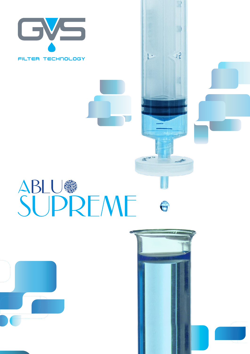

SUPREME 6





q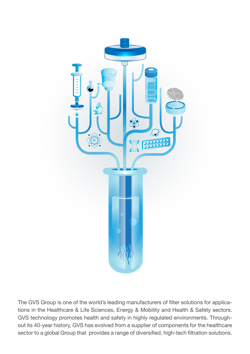

The GVS Group is one of the world's leading manufacturers of filter solutions for applications in the Healthcare & Life Sciences, Energy & Mobility and Health & Safety sectors. GVS technology promotes health and safety in highly regulated environments. Throughout its 40-year history, GVS has evolved from a supplier of components for the healthcare sector to a global Group that provides a range of diversified, high-tech filtration solutions.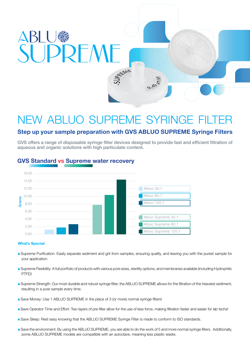

# NEW ABLUO SUPREME SYRINGE FILTE

## **Step up your sample preparation with GVS ABLUO SUPREME Syringe Filters**

GVS offers a range of disposable syringe filter devices designed to provide fast and efficient filtration of aqueous and organic solutions with high particulate content.



## **GVS Standard vs Supreme water recovery**

### **What's Special:**

- A Supreme Purification: Easily separate sediment and grit from samples, ensuring quality, and leaving you with the purest sample for your application.
- A Supreme Flexibility: A full portfolio of products with various pore sizes, sterility options, and membranes available (including Hydrophilic PTFE)!
- A Supreme Strength: Our most durable and robust syringe filter, the ABLUO SUPREME allows for the filtration of the heaviest sediment, resulting in a pure sample every time.
- Save Money: Use 1 ABLUO SUPREME in the place of 3 (or more) normal syringe filters!
- A Save Operator Time and Effort: Two layers of pre-filter allow for the use of less force, making filtration faster and easier for lab techs!
- A Save Sleep: Rest easy knowing that the ABLUO SUPREME Syringe Filter is made to conform to ISO standards.
- A Save the environment: By using the ABLUO SUPREME, you are able to do the work of 5 and more normal syringe filters. Additionally, some ABLUO SUPREME models are compatible with an autoclave, meaning less plastic waste.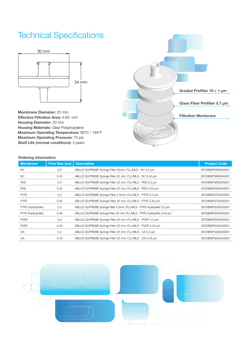## Technical Specifications



**Membrane Diameter:** 25 mm **Effective Filtration Area:** 4.63 cm² **Housing Diameter:** 30 mm **Housing Materials:** Clear Polypropylene **Maximum Operating Temperature:** 90°C / 194°F **Maximum Operating Pressure:** 75 psi **Shelf Life (normal conditions):** 3 years



### **Ordering information**

| <b>Membrane</b>    | Pore Size (um) | <b>Description</b>                                                     | <b>Product Code</b> |
|--------------------|----------------|------------------------------------------------------------------------|---------------------|
| <b>NY</b>          | 0.2            | ABLUO SUPREME Syringe Filter 25mm, FLL/MLS - NY 0.2 um                 | GF25BNPGN002AD01    |
| <b>NY</b>          | 0.45           | ABLUO SUPREME Syringe Filter 25 mm, FLL/MLS - NY 0.45 µm               | GF25BNPGN004AD01    |
| <b>PES</b>         | 0.2            | ABLUO SUPREME Syringe Filter 25 mm, FLL/MLS - PES 0.2 µm               | GF25BNPGS002AD01    |
| <b>PES</b>         | 0.45           | ABLUO SUPREME Syringe Filter 25 mm, FLL/MLS - PES 0.45 um              | GF25BNPGS004AD01    |
| <b>PTFE</b>        | 0.2            | ABLUO SUPREME Syringe Filter 2 5mm, FLL/MLS - PTFE 0.2 um              | GF25BNPGT002AD01    |
| <b>PTFE</b>        | 0.45           | ABLUO SUPREME Syringe Filter 25 mm, FLL/MLS - PTFE 0.45 um             | GF25BNPGT004AD01    |
| PTFE (Hydrophilic) | 0.2            | ABLUO SUPREME Syringe Filter 2 5mm, FLL/MLS - PTFE Hydrophilic 0.2 um  | GF25BNPGH002AD01    |
| PTFE (Hydrophilic) | 0.45           | ABLUO SUPREME Syringe Filter 25 mm, FLL/MLS - PTFE Hydrophilic 0.45 um | GF25BNPGH004AD01    |
| <b>PVDF</b>        | 0.2            | ABLUO SUPREME Syringe Filter 25 mm, FLL/MLS - PVDF 0.2 um              | GF25BNPGV002AD01    |
| <b>PVDF</b>        | 0.45           | ABLUO SUPREME Syringe Filter 25 mm, FLL/MLS - PVDF 0.45 um             | GF25BNPGV004AD01    |
| $C\Delta$          | 0.2            | ABLUO SUPREME Syringe Filter 25 mm, FLL/MLS - CA 0.2 um                | GF25BNPGA002AD01    |
| CA                 | 0.45           | ABLUO SUPREME Syringe Filter 25 mm, FLL/MLS - CA 0.45 µm               | GF25BNPGA004AD01    |

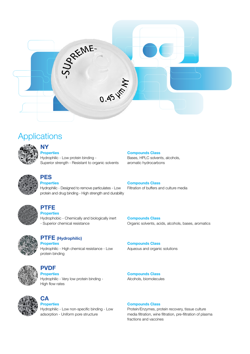

## **Applications**



## **NY**

**Properties** Hydrophilic - Low protein binding - Superior strength - Resistant to organic solvents



## **PES Properties**

Hydrophilic - Designed to remove particulates - Low protein and drug binding - High strength and durability



## **PTFE**

**Properties** Hydrophobic - Chemically and biologically inert - Superior chemical resistance



## **PTFE (Hydrophilic)**

**Properties** Hydrophilic - High chemical resistance - Low protein binding



## **PVDF**

**Properties** Hydrophilic - Very low protein binding - High flow rates



## **CA Properties**

Hydrophilic - Low non-specific binding - Low adsorption - Uniform pore structure

**Compounds Class** Bases, HPLC solvents, alcohols, aromatic hydrocarbons

**Compounds Class** Filtration of buffers and culture media

**Compounds Class** Organic solvents, acids, alcohols, bases, aromatics

**Compounds Class** Aqueous and organic solutions

**Compounds Class** Alcohols, biomolecules

**Compounds Class**

Protein/Enzymes, protein recovery, tissue culture media filtration, wine filtration, pre-filtration of plasma fractions and vaccines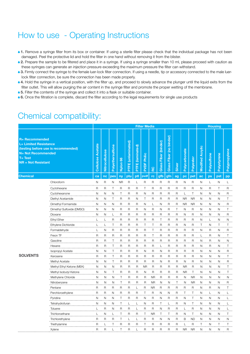## How to use - Operating Instructions

- **1.** Remove a syringe filter from its box or container. If using a sterile filter please check that the individual package has not been damaged. Peel the protective lid and hold the filter in one hand without removing it from the blister.
- **2.** Prepare the sample to be filtered and place it in a syringe. If using a syringe smaller than 10 ml, please proceed with caution as these syringes can generate an injection pressure exceeding the maximum pressure the filter can withstand.
- 3. Firmly connect the syringe to the female luer-lock filter connection. If using a needle, tip or accessory connected to the male luer-Iock filter connection, be sure the connection has been made properly.
- **4.** Hold the syringe in a vertical position, with the filter up, and proceed to slowly advance the plunger until the liquid exits from the filter outlet. This will allow purging the air content in the syringe filter and promote the proper wetting of the membrane.
- **6.** Filter the contents of the syringe and collect it into a flask or suitable container.
- **6.** Once the filtration is complete, discard the filter according to the legal requirements for single use products

## Chemical compatibility:

|                                                                                                                                                                 |                           |                          | <b>Filter Media</b> |                  |                |                    |                         |                       |                |                         |                                      |                |                |                |                         | <b>Housing</b> |              |               |  |
|-----------------------------------------------------------------------------------------------------------------------------------------------------------------|---------------------------|--------------------------|---------------------|------------------|----------------|--------------------|-------------------------|-----------------------|----------------|-------------------------|--------------------------------------|----------------|----------------|----------------|-------------------------|----------------|--------------|---------------|--|
| <b>R= Recommended</b><br><b>L= Limited Resistance</b><br>(testing before use is recommended)<br><b>N= Not Recommended</b><br>$T = Test$<br>$NR = Not$ Resistant |                           | <b>Cellulose Acetate</b> | Nitrocellulose      | Polyethersulfone | 66<br>Nylon    | PTFE (unlaminated) | <b>PTFE</b> (laminated) | Philic<br><b>PVDF</b> | RC             | Fiber (binder)<br>Glass | (no binder)<br><b>Fiber</b><br>Glass | Silver         | Polycarbonate  | Polyester      | <b>Modified Acrylic</b> | Polysulfone    | Polystyrene  | Polypropylene |  |
| <b>Chemical</b>                                                                                                                                                 |                           | ca                       | nc                  | pes              | ny             | ptu                | ptl                     | pvdf                  | rc             | gfb                     | gfn                                  | ag             | $\overline{p}$ | pet            | ac                      | ps             | pst          | pp            |  |
|                                                                                                                                                                 | Chloroform                | N                        | R                   | N                | <b>NR</b>      | R                  | L                       | R                     | R              | R                       | R                                    | R              | N              | R              | N                       | L              | N            | L             |  |
| <b>SOLVENTS</b>                                                                                                                                                 | Cyclohexane               | R                        | R                   | Т                | R              | $\overline{R}$     | R                       | Т                     | R              | R                       | R                                    | R              | R              | R              | N                       | R              | Т            | R             |  |
|                                                                                                                                                                 | Cyclohexanone             | N                        | Ν                   | N                | Τ              | $\overline{R}$     | $\mathsf{R}$            | N                     | R              | R                       | R                                    | R              |                | T              | N                       | N              | N            | $\mathsf{R}$  |  |
|                                                                                                                                                                 | Diethyl Acetamide         | N                        | N                   | Т                | $\mathsf{R}$   | $\overline{R}$     | N                       | Т                     | $\mathsf{R}$   | R                       | $\mathsf{R}$                         | $\mathsf{R}$   | <b>NR</b>      | <b>NR</b>      | N                       | N              | N            | T             |  |
|                                                                                                                                                                 | Dimethyl Formamide        | $\mathsf{N}$             | $\mathsf{N}$        | N                | $\overline{R}$ | $\mathsf R$        | $\overline{R}$          | N                     | L              | N                       | $\mathsf R$                          | R              | <b>NR</b>      | <b>NR</b>      | $\mathsf{N}$            | N              | N            | $\mathsf R$   |  |
|                                                                                                                                                                 | Dimethyl Sulfoxide (DMSO) | N                        | N                   | N                | R              | $\mathsf R$        | R                       | N                     | $\mathsf R$    | N                       | R                                    | T              | N              | $\mathsf R$    | N                       | N              | $\mathsf{N}$ | T             |  |
|                                                                                                                                                                 | Dioxane                   | N                        | N                   |                  | $\overline{R}$ | R                  | $\overline{R}$          | R                     | $\mathsf{R}$   | R                       | R                                    | R              | N              | R              | Ν                       | Ν              | N            | R             |  |
|                                                                                                                                                                 | <b>Ethyl Ether</b>        | L                        | L                   | R                | <sub>R</sub>   | R                  | R                       | R                     | $\mathsf{R}$   | Т                       | R                                    | R              | $\mathsf{R}$   | R              | Ν                       | L              | N            | N             |  |
|                                                                                                                                                                 | Ethylene Dichloride       | L                        | L                   | Τ                | R              | R                  | $\mathsf{R}$            | Т                     | Т              | R                       | R                                    | R              | Ν              | R              | Т                       | N              | Τ            | т             |  |
|                                                                                                                                                                 | Formaldehyde              | L                        | N                   | $\mathsf{R}$     | R              | $\mathsf{R}$       | R                       | $\overline{R}$        | Т              | R                       | R                                    | R              | R              | R              | N                       | R              | N            | R             |  |
|                                                                                                                                                                 | Freon TF                  | $\mathsf{R}$             | R                   | $\mathsf{R}$     | $\mathsf{R}$   | $\overline{R}$     | R                       | R                     | Т              | R                       | $\mathsf{R}$                         | R              | $\mathsf{R}$   | $\overline{R}$ | L                       | $\overline{R}$ | N            | Т             |  |
|                                                                                                                                                                 | Gasoline                  | R                        | $\mathsf{R}$        | T                | $\overline{R}$ | R                  | $\mathsf{R}$            | $\overline{R}$        | $\overline{R}$ | R                       | $\mathsf{R}$                         | $\mathsf{R}$   | $\overline{R}$ | R              | N                       | $\overline{R}$ | N            | N             |  |
|                                                                                                                                                                 | Hexane                    | R                        | $\mathsf{R}$        | T                | R              | $\overline{R}$     | R                       | $\overline{R}$        | $\overline{R}$ | Ш                       | R                                    | R              | $\mathsf R$    | $\overline{R}$ | N                       | $\overline{R}$ | N            | T             |  |
|                                                                                                                                                                 | Isopropyl Acetate         | N                        | N                   | Τ                | $\overline{R}$ | R                  | R                       | N                     | R              | Ν                       | $\mathsf{R}$                         | $\mathsf{R}$   | R              | $\mathsf{R}$   | N                       | N              | N            | R             |  |
|                                                                                                                                                                 | Kerosene                  | $\mathsf{R}$             | $\overline{R}$      | т                | $\mathsf{R}$   | R                  | R                       | R                     | R              | R                       | R                                    | $\overline{R}$ | $\overline{R}$ | $\mathsf{R}$   | N                       | N              | N            | т             |  |
|                                                                                                                                                                 | Methyl Acetate            | Ν                        | N                   | Τ                | $\mathsf{R}$   | $\overline{R}$     | R                       | $\mathsf{R}$          | R              | Ν                       | R                                    | $\mathsf{R}$   | N              | R              | Ν                       | N              | Ν            | R<br>$\cdots$ |  |
|                                                                                                                                                                 | Methyl Ethyl Ketone (MEK) | N                        | Ν                   | N                | $\mathsf{R}$   | $\mathsf{R}$       | R                       | <b>NR</b>             | R              | R                       | R                                    | R              | <b>NR</b>      | R              | Ν                       | N              | N            | T             |  |
|                                                                                                                                                                 | Methyl Isobutyl Ketone    | Ν                        | N                   | Τ                | R              | R                  | R                       | N                     | R              | R                       | R                                    | R              | ΝR             | Τ              | N                       | N              | N            | Τ             |  |
|                                                                                                                                                                 | Methylene Chloride        | N                        | N                   | N                | T              | R                  | $\overline{R}$          | R                     | <b>NR</b>      | $\overline{R}$          | $\mathsf R$                          | $\mathsf{R}$   | N              | <b>NR</b>      | N                       | N              | N            | Ν             |  |
|                                                                                                                                                                 | Nitrobenzene              | N                        | N                   | N                | $\top$         | $\mathsf{R}$       | $\overline{R}$          | $\overline{R}$        | <b>NR</b>      | $\mathsf{N}$            | N                                    | Τ              | $\mathsf{N}$   | <b>NR</b>      | N                       | N              | N            | R             |  |
|                                                                                                                                                                 | Pentane                   | R                        | $\mathsf R$         | R                | $\mathsf{R}$   | $\overline{R}$     | L                       | $\mathsf{R}$          | <b>NR</b>      | $\overline{R}$          | $\mathsf{R}$                         | R              | $\mathsf{R}$   | $\mathsf R$    | N                       | $\mathsf{R}$   | N            | Τ             |  |
|                                                                                                                                                                 | Perchloroethylene         | R                        | R                   | N                | $\mathsf{R}$   | R                  | R                       | T                     | $\overline{R}$ | N                       | N                                    | R              | T              | T              | N                       | L              | N            |               |  |
|                                                                                                                                                                 | Pyridine                  | N                        | N                   | N                | Т              | R                  | <sub>R</sub>            | N                     | R              | N                       | R                                    | R              | N              | Т              | N                       | Ν              | N            |               |  |
|                                                                                                                                                                 | Tetrahydrofuran           | N                        | Ν                   | N                | T              | L                  | L                       | N                     | R              | Τ                       | L                                    | R              | Ν              | Τ              | N                       | Ν              | N            |               |  |
|                                                                                                                                                                 | Toluene                   | L                        | R                   | Ν                | R              | R                  | L                       | R                     | R              | N                       | R                                    | R              | L              | R              | N                       | N              | N            |               |  |
|                                                                                                                                                                 | Trichloroethane           |                          | N                   |                  | Т              | R                  | $\mathsf{R}$            | T                     | <b>NR</b>      | Т                       | Т                                    | R              | Ν              | Τ              | N                       | N              | N            | Т             |  |
|                                                                                                                                                                 | Trichlorethylene          | R                        | $\mathsf{R}$        | $\mathsf{R}$     | Τ              | L                  | $\mathbf{L}$            | $\overline{R}$        | $\mathsf{R}$   | N                       | N                                    | $\mathsf{R}$   | B              | <b>ND</b>      | N                       | N              | N            | N             |  |
|                                                                                                                                                                 | Triethylamine             | $\mathsf R$              |                     | Τ                | $\overline{R}$ | $\mathsf{R}$       | $\overline{R}$          | T                     | $\overline{R}$ | R                       | $\mathsf R$                          | R              | L              | $\mathsf{R}$   | T                       | N              | Τ            | Τ             |  |
|                                                                                                                                                                 | Xylene                    | $\mathsf R$              | R                   | L                | Т              | R                  |                         | R                     | R              | R                       | R                                    | R              | <b>NR</b>      | <b>NR</b>      | N                       | N              | N            | R             |  |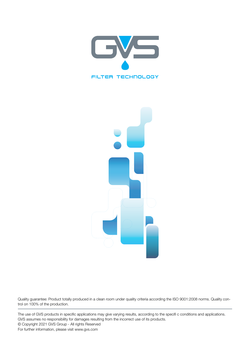



Quality guarantee: Product totally produced in a clean room under quality criteria according the ISO 9001:2008 norms. Quality control on 100% of the production.

The use of GVS products in specific applications may give varying results, according to the specifi c conditions and applications. GVS assumes no responsibility for damages resulting from the incorrect use of its products. © Copyright 2021 GVS Group - All rights Reserved For further information, please visit www.gvs.com